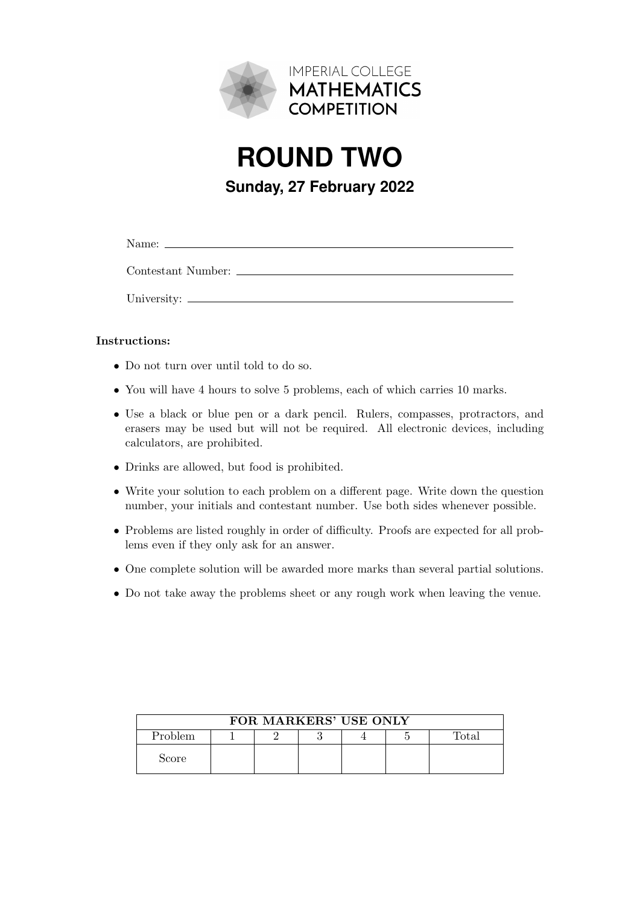

**ROUND TWO Sunday, 27 February 2022**

Name:

Contestant Number:

University:

## Instructions:

- Do not turn over until told to do so.
- You will have 4 hours to solve 5 problems, each of which carries 10 marks.
- Use a black or blue pen or a dark pencil. Rulers, compasses, protractors, and erasers may be used but will not be required. All electronic devices, including calculators, are prohibited.
- Drinks are allowed, but food is prohibited.
- Write your solution to each problem on a different page. Write down the question number, your initials and contestant number. Use both sides whenever possible.
- Problems are listed roughly in order of difficulty. Proofs are expected for all problems even if they only ask for an answer.
- One complete solution will be awarded more marks than several partial solutions.
- Do not take away the problems sheet or any rough work when leaving the venue.

| FOR MARKERS' USE ONLY |  |  |  |  |  |       |
|-----------------------|--|--|--|--|--|-------|
| <b>Problem</b>        |  |  |  |  |  | Total |
| Score                 |  |  |  |  |  |       |